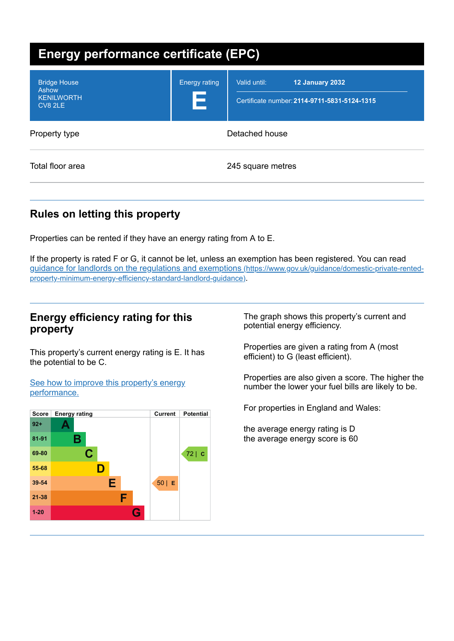| <b>Energy performance certificate (EPC)</b>                  |                           |                                                                                        |  |
|--------------------------------------------------------------|---------------------------|----------------------------------------------------------------------------------------|--|
| <b>Bridge House</b><br>Ashow<br><b>KENILWORTH</b><br>CV8 2LE | <b>Energy rating</b><br>E | <b>12 January 2032</b><br>Valid until:<br>Certificate number: 2114-9711-5831-5124-1315 |  |
| Property type                                                |                           | Detached house                                                                         |  |
| Total floor area                                             |                           | 245 square metres                                                                      |  |

# **Rules on letting this property**

Properties can be rented if they have an energy rating from A to E.

If the property is rated F or G, it cannot be let, unless an exemption has been registered. You can read guidance for landlords on the regulations and exemptions (https://www.gov.uk/guidance/domestic-private-rented[property-minimum-energy-efficiency-standard-landlord-guidance\)](https://www.gov.uk/guidance/domestic-private-rented-property-minimum-energy-efficiency-standard-landlord-guidance).

## **Energy efficiency rating for this property**

This property's current energy rating is E. It has the potential to be C.

See how to improve this property's energy [performance.](#page-2-0)



The graph shows this property's current and potential energy efficiency.

Properties are given a rating from A (most efficient) to G (least efficient).

Properties are also given a score. The higher the number the lower your fuel bills are likely to be.

For properties in England and Wales:

the average energy rating is D the average energy score is 60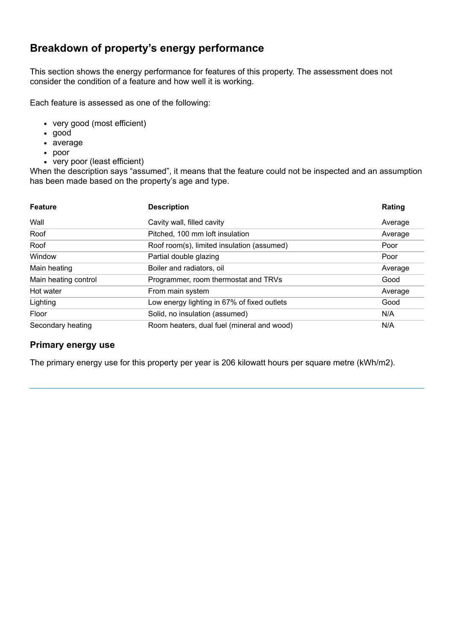## **Breakdown of property's energy performance**

This section shows the energy performance for features of this property. The assessment does not consider the condition of a feature and how well it is working.

Each feature is assessed as one of the following:

- very good (most efficient)
- good
- average
- poor
- very poor (least efficient)

When the description says "assumed", it means that the feature could not be inspected and an assumption has been made based on the property's age and type.

| <b>Feature</b>       | <b>Description</b>                          | Rating  |
|----------------------|---------------------------------------------|---------|
| Wall                 | Cavity wall, filled cavity                  | Average |
| Roof                 | Pitched, 100 mm loft insulation             | Average |
| Roof                 | Roof room(s), limited insulation (assumed)  | Poor    |
| Window               | Partial double glazing                      | Poor    |
| Main heating         | Boiler and radiators, oil                   | Average |
| Main heating control | Programmer, room thermostat and TRVs        | Good    |
| Hot water            | From main system                            | Average |
| Lighting             | Low energy lighting in 67% of fixed outlets | Good    |
| Floor                | Solid, no insulation (assumed)              | N/A     |
| Secondary heating    | Room heaters, dual fuel (mineral and wood)  | N/A     |

#### **Primary energy use**

The primary energy use for this property per year is 206 kilowatt hours per square metre (kWh/m2).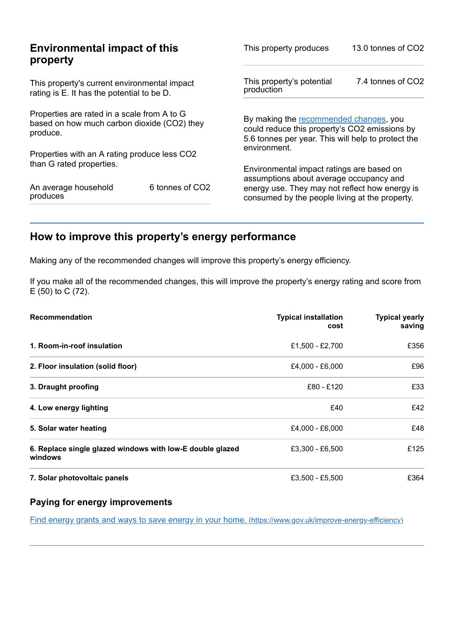| <b>Environmental impact of this</b><br>property                                                        |                 | This property produces                                                                                                                        | 13.0 tonnes of CO2 |
|--------------------------------------------------------------------------------------------------------|-----------------|-----------------------------------------------------------------------------------------------------------------------------------------------|--------------------|
| This property's current environmental impact<br>rating is E. It has the potential to be D.             |                 | This property's potential<br>production                                                                                                       | 7.4 tonnes of CO2  |
| Properties are rated in a scale from A to G<br>based on how much carbon dioxide (CO2) they<br>produce. |                 | By making the recommended changes, you<br>could reduce this property's CO2 emissions by<br>5.6 tonnes per year. This will help to protect the |                    |
| Properties with an A rating produce less CO2                                                           |                 | environment.                                                                                                                                  |                    |
| than G rated properties.                                                                               |                 | Environmental impact ratings are based on<br>assumptions about average occupancy and                                                          |                    |
| An average household<br>produces                                                                       | 6 tonnes of CO2 | energy use. They may not reflect how energy is<br>consumed by the people living at the property.                                              |                    |

# <span id="page-2-0"></span>**How to improve this property's energy performance**

Making any of the recommended changes will improve this property's energy efficiency.

If you make all of the recommended changes, this will improve the property's energy rating and score from E (50) to C (72).

| <b>Recommendation</b>                                                | <b>Typical installation</b><br>cost | <b>Typical yearly</b><br>saving |
|----------------------------------------------------------------------|-------------------------------------|---------------------------------|
| 1. Room-in-roof insulation                                           | £1.500 - £2.700                     | £356                            |
| 2. Floor insulation (solid floor)                                    | £4,000 - £6,000                     | £96                             |
| 3. Draught proofing                                                  | £80 - £120                          | £33                             |
| 4. Low energy lighting                                               | £40                                 | £42                             |
| 5. Solar water heating                                               | £4,000 - £6,000                     | £48                             |
| 6. Replace single glazed windows with low-E double glazed<br>windows | £3,300 - £6,500                     | £125                            |
| 7. Solar photovoltaic panels                                         | £3.500 - £5.500                     | £364                            |

### **Paying for energy improvements**

Find energy grants and ways to save energy in your home. [\(https://www.gov.uk/improve-energy-efficiency\)](https://www.gov.uk/improve-energy-efficiency)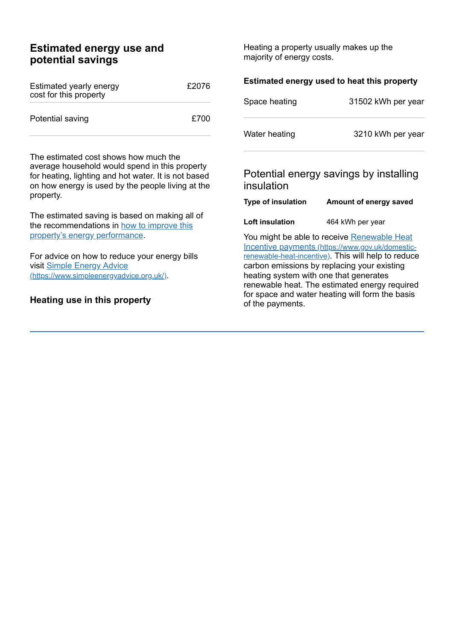## **Estimated energy use and potential savings**

| Estimated yearly energy<br>cost for this property | £2076 |
|---------------------------------------------------|-------|
| Potential saving                                  | £700  |

The estimated cost shows how much the average household would spend in this property for heating, lighting and hot water. It is not based on how energy is used by the people living at the property.

The estimated saving is based on making all of the [recommendations](#page-2-0) in how to improve this property's energy performance.

For advice on how to reduce your energy bills visit Simple Energy Advice [\(https://www.simpleenergyadvice.org.uk/\)](https://www.simpleenergyadvice.org.uk/).

### **Heating use in this property**

Heating a property usually makes up the majority of energy costs.

| Estimated energy used to heat this property                                                                                                                                                                                                                                                                                                         |                                        |  |
|-----------------------------------------------------------------------------------------------------------------------------------------------------------------------------------------------------------------------------------------------------------------------------------------------------------------------------------------------------|----------------------------------------|--|
| Space heating                                                                                                                                                                                                                                                                                                                                       | 31502 kWh per year                     |  |
| Water heating                                                                                                                                                                                                                                                                                                                                       | 3210 kWh per year                      |  |
| insulation                                                                                                                                                                                                                                                                                                                                          | Potential energy savings by installing |  |
| <b>Type of insulation</b>                                                                                                                                                                                                                                                                                                                           | Amount of energy saved                 |  |
| Loft insulation                                                                                                                                                                                                                                                                                                                                     | 464 kWh per year                       |  |
| You might be able to receive Renewable Heat<br>Incentive payments (https://www.gov.uk/domestic-<br>renewable-heat-incentive). This will help to reduce<br>carbon emissions by replacing your existing<br>heating system with one that generates<br>renewable heat. The estimated energy required<br>for space and water heating will form the basis |                                        |  |

of the payments.